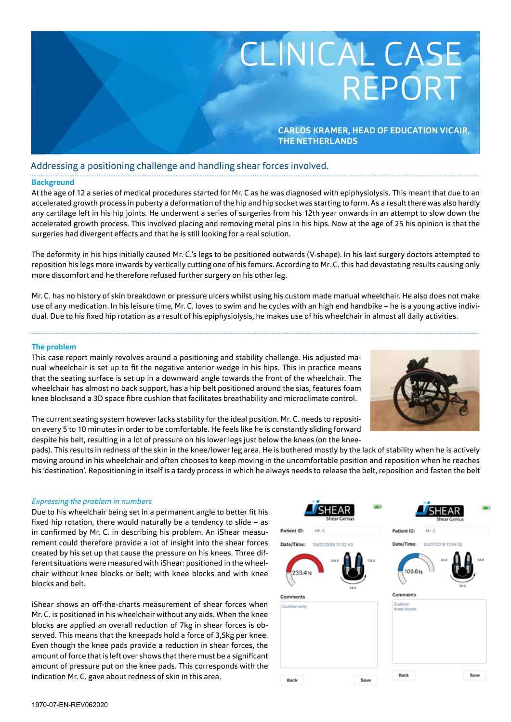

# Addressing a positioning challenge and handling shear forces involved.

## **Background**

At the age of 12 a series of medical procedures started for Mr. C as he was diagnosed with epiphysiolysis. This meant that due to an accelerated growth process in puberty a deformation of the hip and hip socket was starting to form. As a result there was also hardly any cartilage left in his hip joints. He underwent a series of surgeries from his 12th year onwards in an attempt to slow down the accelerated growth process. This involved placing and removing metal pins in his hips. Now at the age of 25 his opinion is that the surgeries had divergent effects and that he is still looking for a real solution.

The deformity in his hips initially caused Mr. C.'s legs to be positioned outwards (V-shape). In his last surgery doctors attempted to reposition his legs more inwards by vertically cutting one of his femurs. According to Mr. C. this had devastating results causing only more discomfort and he therefore refused further surgery on his other leg.

Mr. C. has no history of skin breakdown or pressure ulcers whilst using his custom made manual wheelchair. He also does not make use of any medication. In his leisure time, Mr. C. loves to swim and he cycles with an high end handbike – he is a young active individual. Due to his fixed hip rotation as a result of his epiphysiolysis, he makes use of his wheelchair in almost all daily activities.

### **The problem**

This case report mainly revolves around a positioning and stability challenge. His adjusted manual wheelchair is set up to fit the negative anterior wedge in his hips. This in practice means that the seating surface is set up in a downward angle towards the front of the wheelchair. The wheelchair has almost no back support, has a hip belt positioned around the sias, features foam knee blocksand a 3D space fibre cushion that facilitates breathability and microclimate control.



The current seating system however lacks stability for the ideal position. Mr. C. needs to reposition every 5 to 10 minutes in order to be comfortable. He feels like he is constantly sliding forward despite his belt, resulting in a lot of pressure on his lower legs just below the knees (on the knee-

pads). This results in redness of the skin in the knee/lower leg area. He is bothered mostly by the lack of stability when he is actively moving around in his wheelchair and often chooses to keep moving in the uncomfortable position and reposition when he reaches his 'destination'. Repositioning in itself is a tardy process in which he always needs to release the belt, reposition and fasten the belt

## *Expressing the problem in numbers*

Due to his wheelchair being set in a permanent angle to better fit his fixed hip rotation, there would naturally be a tendency to slide – as in confirmed by Mr. C. in describing his problem. An iShear measurement could therefore provide a lot of insight into the shear forces created by his set up that cause the pressure on his knees. Three different situations were measured with iShear: positioned in the wheelchair without knee blocks or belt; with knee blocks and with knee blocks and belt.

iShear shows an off-the-charts measurement of shear forces when Mr. C. is positioned in his wheelchair without any aids. When the knee blocks are applied an overall reduction of 7kg in shear forces is observed. This means that the kneepads hold a force of 3,5kg per knee. Even though the knee pads provide a reduction in shear forces, the amount of force that is left over shows that there must be a significant amount of pressure put on the knee pads. This corresponds with the indication Mr. C. gave about redness of skin in this area.

|                    | <b>SHEAR</b><br><b>Shear Genius</b> | $\blacksquare$              | ۰Þ<br><b>SHEAF</b><br><b>Shear Genius</b> |
|--------------------|-------------------------------------|-----------------------------|-------------------------------------------|
| Patient ID:        | Mr. C                               | Patient ID:                 | Mr. C                                     |
| Date/Time:         | 05/07/2018 11:32:43                 | Date/Time:                  | 05/07/2018 11:34:02                       |
| 233.4N<br>Comments | 104.6<br>24.2                       | 128.8<br>109.6N<br>Comments | 44.8<br>64.8<br>20.0                      |
| Cushion only       |                                     | Cushion                     |                                           |
|                    |                                     | Knee blocks                 |                                           |
|                    |                                     |                             |                                           |
|                    |                                     |                             |                                           |
|                    |                                     |                             |                                           |
| Back               |                                     | Back<br>Save                | Save                                      |
|                    |                                     |                             |                                           |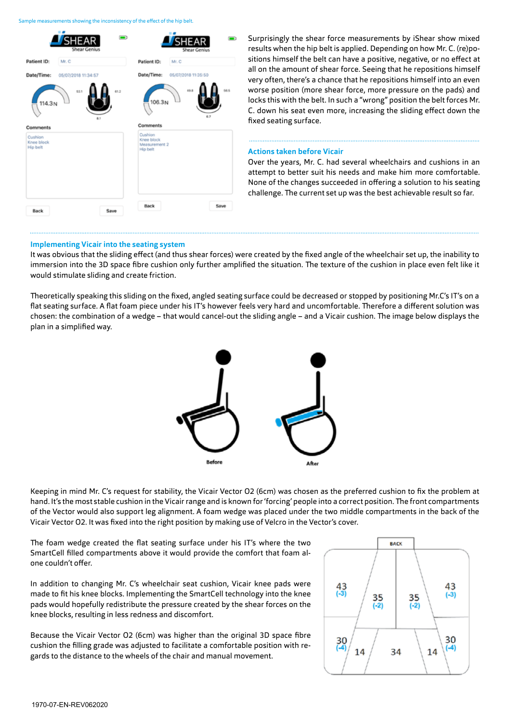Sample measurements showing the inconsistency of the effect of the hip belt.



Surprisingly the shear force measurements by iShear show mixed results when the hip belt is applied. Depending on how Mr. C. (re)positions himself the belt can have a positive, negative, or no effect at all on the amount of shear force. Seeing that he repositions himself very often, there's a chance that he repositions himself into an even worse position (more shear force, more pressure on the pads) and locks this with the belt. In such a "wrong" position the belt forces Mr. C. down his seat even more, increasing the sliding effect down the fixed seating surface.

#### **Actions taken before Vicair**

Over the years, Mr. C. had several wheelchairs and cushions in an attempt to better suit his needs and make him more comfortable. None of the changes succeeded in offering a solution to his seating challenge. The current set up was the best achievable result so far.

#### **Implementing Vicair into the seating system**

It was obvious that the sliding effect (and thus shear forces) were created by the fixed angle of the wheelchair set up, the inability to immersion into the 3D space fibre cushion only further amplified the situation. The texture of the cushion in place even felt like it would stimulate sliding and create friction.

Theoretically speaking this sliding on the fixed, angled seating surface could be decreased or stopped by positioning Mr.C's IT's on a flat seating surface. A flat foam piece under his IT's however feels very hard and uncomfortable. Therefore a different solution was chosen: the combination of a wedge – that would cancel-out the sliding angle – and a Vicair cushion. The image below displays the plan in a simplified way.



Keeping in mind Mr. C's request for stability, the Vicair Vector O2 (6cm) was chosen as the preferred cushion to fix the problem at hand. It's the most stable cushion in the Vicair range and is known for 'forcing' people into a correct position. The front compartments of the Vector would also support leg alignment. A foam wedge was placed under the two middle compartments in the back of the Vicair Vector O2. It was fixed into the right position by making use of Velcro in the Vector's cover.

The foam wedge created the flat seating surface under his IT's where the two SmartCell filled compartments above it would provide the comfort that foam alone couldn't offer.

In addition to changing Mr. C's wheelchair seat cushion, Vicair knee pads were made to fit his knee blocks. Implementing the SmartCell technology into the knee pads would hopefully redistribute the pressure created by the shear forces on the knee blocks, resulting in less redness and discomfort.

Because the Vicair Vector O2 (6cm) was higher than the original 3D space fibre cushion the filling grade was adjusted to facilitate a comfortable position with regards to the distance to the wheels of the chair and manual movement.